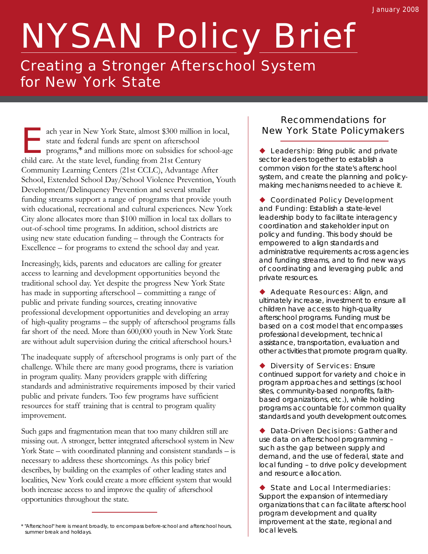# NYSAN Policy Brief

### Creating a Stronger Afterschool System for New York State

ach year in New York State, almost \$300 million in local,<br>state and federal funds are spent on afterschool<br>programs,<sup>\*</sup> and millions more on subsidies for school-ag<br>child case. At the state level, funding from 21st Century ach year in New York State, almost \$300 million in local,<br>state and federal funds are spent on afterschool programs,\* and millions more on subsidies for school-age child care. At the state level, funding from 21st Century Community Learning Centers (21st CCLC), Advantage After School, Extended School Day/School Violence Prevention, Youth Development/Delinquency Prevention and several smaller funding streams support a range of programs that provide youth with educational, recreational and cultural experiences. New York City alone allocates more than \$100 million in local tax dollars to out-of-school time programs. In addition, school districts are using new state education funding – through the Contracts for Excellence – for programs to extend the school day and year.

Increasingly, kids, parents and educators are calling for greater access to learning and development opportunities beyond the traditional school day. Yet despite the progress New York State has made in supporting afterschool – committing a range of public and private funding sources, creating innovative professional development opportunities and developing an array of high-quality programs – the supply of afterschool programs falls far short of the need. More than 600,000 youth in New York State are without adult supervision during the critical afterschool hours.<sup>1</sup>

The inadequate supply of afterschool programs is only part of the challenge. While there are many good programs, there is variation in program quality. Many providers grapple with differing standards and administrative requirements imposed by their varied public and private funders. Too few programs have sufficient resources for staff training that is central to program quality improvement.

Such gaps and fragmentation mean that too many children still are missing out. A stronger, better integrated afterschool system in New York State – with coordinated planning and consistent standards – is necessary to address these shortcomings. As this policy brief describes, by building on the examples of other leading states and localities, New York could create a more efficient system that would both increase access to and improve the quality of afterschool opportunities throughout the state.

#### Recommendations for New York State Policymakers

◆ Leadership: Bring public and private sector leaders together to establish a common vision for the state's afterschool system, and create the planning and policymaking mechanisms needed to achieve it.

◆ Coordinated Policy Development and Funding: Establish a state-level leadership body to facilitate interagency coordination and stakeholder input on policy and funding. This body should be empowered to align standards and administrative requirements across agencies and funding streams, and to find new ways of coordinating and leveraging public and private resources.

**Adequate Resources: Align, and** ultimately increase, investment to ensure all children have access to high-quality afterschool programs. Funding must be based on a cost model that encompasses professional development, technical assistance, transportation, evaluation and other activities that promote program quality.

**Diversity of Services: Ensure** continued support for variety and choice in program approaches and settings (school sites, community-based nonprofits, faithbased organizations, etc.), while holding programs accountable for common quality standards and youth development outcomes.

**Data-Driven Decisions: Gather and** use data on afterschool programming – such as the gap between supply and demand, and the use of federal, state and local funding – to drive policy development and resource allocation.

◆ State and Local Intermediaries: Support the expansion of intermediary organizations that can facilitate afterschool program development and quality improvement at the state, regional and

<sup>\* &</sup>quot;Afterschool" here is meant broadly, to encompass before-school and afterschool hours,<br>| local levels, summer break and holidays.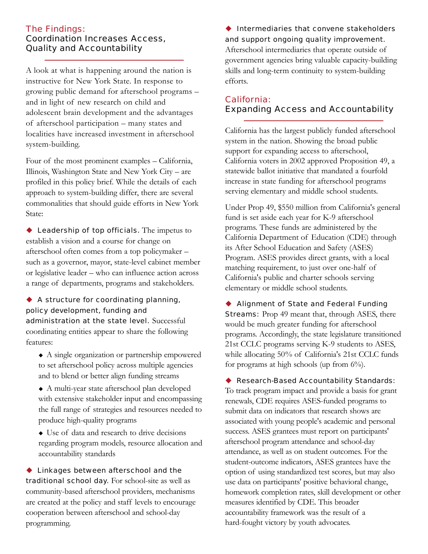#### The Findings: Coordination Increases Access, Quality and Accountability

A look at what is happening around the nation is instructive for New York State. In response to growing public demand for afterschool programs – and in light of new research on child and adolescent brain development and the advantages of afterschool participation – many states and localities have increased investment in afterschool system-building.

Four of the most prominent examples – California, Illinois, Washington State and New York City – are profiled in this policy brief. While the details of each approach to system-building differ, there are several commonalities that should guide efforts in New York State:

**Leadership of top officials.** The impetus to establish a vision and a course for change on afterschool often comes from a top policymaker – such as a governor, mayor, state-level cabinet member or legislative leader – who can influence action across a range of departments, programs and stakeholders.

 A structure for coordinating planning, policy development, funding and administration at the state level. Successful coordinating entities appear to share the following features:

- A single organization or partnership empowered to set afterschool policy across multiple agencies and to blend or better align funding streams
- A multi-year state afterschool plan developed with extensive stakeholder input and encompassing the full range of strategies and resources needed to produce high-quality programs
- Use of data and research to drive decisions regarding program models, resource allocation and accountability standards

◆ Linkages between afterschool and the traditional school day. For school-site as well as community-based afterschool providers, mechanisms are created at the policy and staff levels to encourage cooperation between afterschool and school-day programming.

#### $\blacklozenge$  Intermediaries that convene stakeholders and support ongoing quality improvement.

Afterschool intermediaries that operate outside of government agencies bring valuable capacity-building skills and long-term continuity to system-building efforts.

#### California: Expanding Access and Accountability

California has the largest publicly funded afterschool system in the nation. Showing the broad public support for expanding access to afterschool, California voters in 2002 approved Proposition 49, a statewide ballot initiative that mandated a fourfold increase in state funding for afterschool programs serving elementary and middle school students.

Under Prop 49, \$550 million from California's general fund is set aside each year for K-9 afterschool programs. These funds are administered by the California Department of Education (CDE) through its After School Education and Safety (ASES) Program. ASES provides direct grants, with a local matching requirement, to just over one-half of California's public and charter schools serving elementary or middle school students.

◆ Alignment of State and Federal Funding **Streams:** Prop 49 meant that, through ASES, there would be much greater funding for afterschool programs. Accordingly, the state legislature transitioned 21st CCLC programs serving K-9 students to ASES, while allocating 50% of California's 21st CCLC funds for programs at high schools (up from 6%).

#### ◆ Research-Based Accountability Standards:

To track program impact and provide a basis for grant renewals, CDE requires ASES-funded programs to submit data on indicators that research shows are associated with young people's academic and personal success. ASES grantees must report on participants' afterschool program attendance and school-day attendance, as well as on student outcomes. For the student-outcome indicators, ASES grantees have the option of using standardized test scores, but may also use data on participants' positive behavioral change, homework completion rates, skill development or other measures identified by CDE. This broader accountability framework was the result of a hard-fought victory by youth advocates.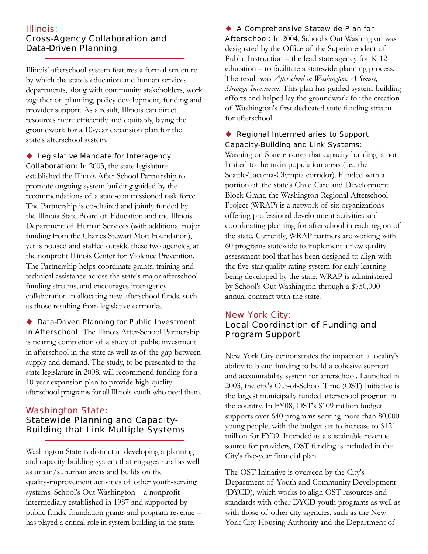#### Illinois: Cross-Agency Collaboration and Data-Driven Planning

Illinois' afterschool system features a formal structure by which the state's education and human services departments, along with community stakeholders, work together on planning, policy development, funding and provider support. As a result, Illinois can direct resources more efficiently and equitably, laying the groundwork for a 10-year expansion plan for the state's afterschool system.

◆ Legislative Mandate for Interagency Collaboration: In 2003, the state legislature established the Illinois After-School Partnership to promote ongoing system-building guided by the recommendations of a state-commissioned task force. The Partnership is co-chaired and jointly funded by the Illinois State Board of Education and the Illinois Department of Human Services (with additional major funding from the Charles Stewart Mott Foundation), yet is housed and staffed outside these two agencies, at the nonprofit Illinois Center for Violence Prevention. The Partnership helps coordinate grants, training and technical assistance across the state's major afterschool funding streams, and encourages interagency collaboration in allocating new afterschool funds, such as those resulting from legislative earmarks.

◆ Data-Driven Planning for Public Investment in Afterschool: The Illinois After-School Partnership is nearing completion of a study of public investment in afterschool in the state as well as of the gap between supply and demand. The study, to be presented to the state legislature in 2008, will recommend funding for a 10-year expansion plan to provide high-quality afterschool programs for all Illinois youth who need them.

#### Washington State: Statewide Planning and Capacity-Building that Link Multiple Systems

Washington State is distinct in developing a planning and capacity-building system that engages rural as well as urban/suburban areas and builds on the quality-improvement activities of other youth-serving systems. School's Out Washington – a nonprofit intermediary established in 1987 and supported by public funds, foundation grants and program revenue – has played a critical role in system-building in the state.

◆ A Comprehensive Statewide Plan for **Afterschool:** In 2004, School's Out Washington was designated by the Office of the Superintendent of Public Instruction – the lead state agency for K-12 education – to facilitate a statewide planning process. The result was *Afterschool in Washington: A Smart, Strategic Investment*. This plan has guided system-building efforts and helped lay the groundwork for the creation of Washington's first dedicated state funding stream for afterschool.

#### ◆ Regional Intermediaries to Support Capacity-Building and Link Systems:

Washington State ensures that capacity-building is not limited to the main population areas (i.e., the Seattle-Tacoma-Olympia corridor). Funded with a portion of the state's Child Care and Development Block Grant, the Washington Regional Afterschool Project (WRAP) is a network of six organizations offering professional development activities and coordinating planning for afterschool in each region of the state. Currently, WRAP partners are working with 60 programs statewide to implement a new quality assessment tool that has been designed to align with the five-star quality rating system for early learning being developed by the state. WRAP is administered by School's Out Washington through a \$750,000 annual contract with the state.

#### New York City:

#### Local Coordination of Funding and Program Support

New York City demonstrates the impact of a locality's ability to blend funding to build a cohesive support and accountability system for afterschool. Launched in 2003, the city's Out-of-School Time (OST) Initiative is the largest municipally funded afterschool program in the country. In FY08, OST's \$109 million budget supports over 640 programs serving more than 80,000 young people, with the budget set to increase to \$121 million for FY09. Intended as a sustainable revenue source for providers, OST funding is included in the City's five-year financial plan.

The OST Initiative is overseen by the City's Department of Youth and Community Development (DYCD), which works to align OST resources and standards with other DYCD youth programs as well as with those of other city agencies, such as the New York City Housing Authority and the Department of